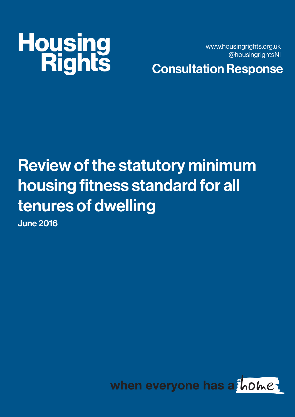# **Housing<br>Rights**

www.housingrights.org.uk @housingrightsNI

Consultation Response

### Review of the statutory minimum housing fitness standard for all tenures of dwelling

June 2016

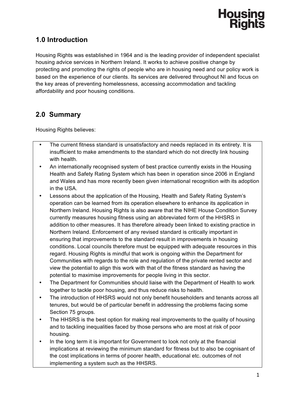

### **1.0 Introduction**

Housing Rights was established in 1964 and is the leading provider of independent specialist housing advice services in Northern Ireland. It works to achieve positive change by protecting and promoting the rights of people who are in housing need and our policy work is based on the experience of our clients. Its services are delivered throughout NI and focus on the key areas of preventing homelessness, accessing accommodation and tackling affordability and poor housing conditions.

### **2.0 Summary**

Housing Rights believes:

- The current fitness standard is unsatisfactory and needs replaced in its entirety. It is insufficient to make amendments to the standard which do not directly link housing with health.
- An internationally recognised system of best practice currently exists in the Housing Health and Safety Rating System which has been in operation since 2006 in England and Wales and has more recently been given international recognition with its adoption in the USA.
- Lessons about the application of the Housing, Health and Safety Rating System's operation can be learned from its operation elsewhere to enhance its application in Northern Ireland. Housing Rights is also aware that the NIHE House Condition Survey currently measures housing fitness using an abbreviated form of the HHSRS in addition to other measures. It has therefore already been linked to existing practice in Northern Ireland. Enforcement of any revised standard is critically important in ensuring that improvements to the standard result in improvements in housing conditions. Local councils therefore must be equipped with adequate resources in this regard. Housing Rights is mindful that work is ongoing within the Department for Communities with regards to the role and regulation of the private rented sector and view the potential to align this work with that of the fitness standard as having the potential to maximise improvements for people living in this sector.
- The Department for Communities should liaise with the Department of Health to work together to tackle poor housing, and thus reduce risks to health.
- The introduction of HHSRS would not only benefit householders and tenants across all tenures, but would be of particular benefit in addressing the problems facing some Section 75 groups.
- The HHSRS is the best option for making real improvements to the quality of housing and to tackling inequalities faced by those persons who are most at risk of poor housing.
- In the long term it is important for Government to look not only at the financial implications at reviewing the minimum standard for fitness but to also be cognisant of the cost implications in terms of poorer health, educational etc. outcomes of not implementing a system such as the HHSRS.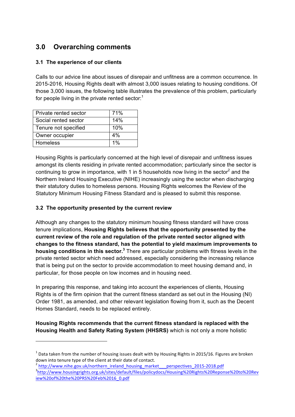### **3.0 Overarching comments**

### **3.1 The experience of our clients**

Calls to our advice line about issues of disrepair and unfitness are a common occurrence. In 2015-2016, Housing Rights dealt with almost 3,000 issues relating to housing conditions. Of those 3,000 issues, the following table illustrates the prevalence of this problem, particularly for people living in the private rented sector: $<sup>1</sup>$ </sup>

| Private rented sector | 71%   |
|-----------------------|-------|
| Social rented sector  | 14%   |
| Tenure not specified  | 10%   |
| Owner occupier        | $4\%$ |
| Homeless              | $1\%$ |

 

Housing Rights is particularly concerned at the high level of disrepair and unfitness issues amongst its clients residing in private rented accommodation; particularly since the sector is continuing to grow in importance, with 1 in 5 households now living in the sector<sup>2</sup> and the Northern Ireland Housing Executive (NIHE) increasingly using the sector when discharging their statutory duties to homeless persons. Housing Rights welcomes the Review of the Statutory Minimum Housing Fitness Standard and is pleased to submit this response.

### **3.2 The opportunity presented by the current review**

Although any changes to the statutory minimum housing fitness standard will have cross tenure implications, **Housing Rights believes that the opportunity presented by the current review of the role and regulation of the private rented sector aligned with changes to the fitness standard, has the potential to yield maximum improvements to housing conditions in this sector.3** There are particular problems with fitness levels in the private rented sector which need addressed, especially considering the increasing reliance that is being put on the sector to provide accommodation to meet housing demand and, in particular, for those people on low incomes and in housing need.

In preparing this response, and taking into account the experiences of clients, Housing Rights is of the firm opinion that the current fitness standard as set out in the Housing (NI) Order 1981, as amended, and other relevant legislation flowing from it, such as the Decent Homes Standard, needs to be replaced entirely.

**Housing Rights recommends that the current fitness standard is replaced with the Housing Health and Safety Rating System (HHSRS)** which is not only a more holistic

http://www.housingrights.org.uk/sites/default/files/policydocs/Housing%20Rights%20Reponse%20to%20Rev iew%20of%20the%20PRS%20Feb%2016\_0.pdf

 $1$  Data taken from the number of housing issues dealt with by Housing Rights in 2015/16. Figures are broken down into tenure type of the client at their date of contact.<br>
<sup>2</sup> http://www.nihe.gov.uk/northern\_ireland\_housing\_market\_\_\_perspectives\_2015-2018.pdf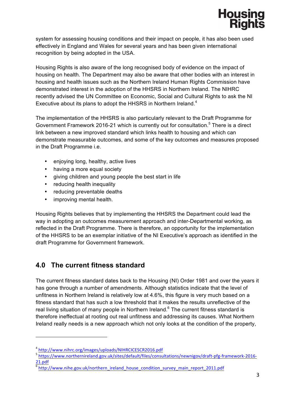

system for assessing housing conditions and their impact on people, it has also been used effectively in England and Wales for several years and has been given international recognition by being adopted in the USA.

Housing Rights is also aware of the long recognised body of evidence on the impact of housing on health. The Department may also be aware that other bodies with an interest in housing and health issues such as the Northern Ireland Human Rights Commission have demonstrated interest in the adoption of the HHSRS in Northern Ireland. The NIHRC recently advised the UN Committee on Economic, Social and Cultural Rights to ask the NI Executive about its plans to adopt the HHSRS in Northern Ireland.<sup>4</sup>

The implementation of the HHSRS is also particularly relevant to the Draft Programme for Government Framework 2016-21 which is currently out for consultation.<sup>5</sup> There is a direct link between a new improved standard which links health to housing and which can demonstrate measurable outcomes, and some of the key outcomes and measures proposed in the Draft Programme i.e.

- enjoying long, healthy, active lives
- having a more equal society
- giving children and young people the best start in life
- reducing health inequality
- reducing preventable deaths
- improving mental health.

Housing Rights believes that by implementing the HHSRS the Department could lead the way in adopting an outcomes measurement approach and inter-Departmental working, as reflected in the Draft Programme. There is therefore, an opportunity for the implementation of the HHSRS to be an exemplar initiative of the NI Executive's approach as identified in the draft Programme for Government framework.

### **4.0 The current fitness standard**

The current fitness standard dates back to the Housing (NI) Order 1981 and over the years it has gone through a number of amendments. Although statistics indicate that the level of unfitness in Northern Ireland is relatively low at 4.6%, this figure is very much based on a fitness standard that has such a low threshold that it makes the results unreflective of the real living situation of many people in Northern Ireland.<sup>6</sup> The current fitness standard is therefore ineffectual at rooting out real unfitness and addressing its causes. What Northern Ireland really needs is a new approach which not only looks at the condition of the property,

<sup>4</sup> http://www.nihrc.org/images/uploads/NIHRCICESCR2016.pdf

<sup>5</sup> https://www.northernireland.gov.uk/sites/default/files/consultations/newnigov/draft-pfg-framework-2016- 21.pdf

 $\overline{\text{http://www.nihe.gov.uk/northern}\text{}$  ireland house condition survey main report 2011.pdf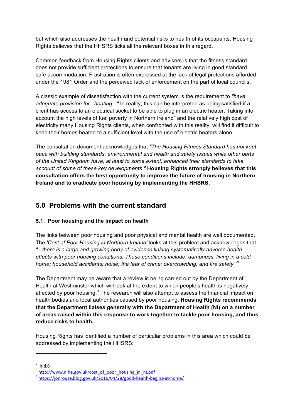but which also addresses the health and potential risks to health of its occupants. Housing Rights believes that the HHSRS ticks all the relevant boxes in this regard.

Common feedback from Housing Rights clients and advisers is that the fitness standard does not provide sufficient protections to ensure that tenants are living in good standard, safe accommodation. Frustration is often expressed at the lack of legal protections afforded under the 1981 Order and the perceived lack of enforcement on the part of local councils.

A classic example of dissatisfaction with the current system is the requirement to *"have adequate provision for...heating..."* In reality, this can be interpreted as being satisfied if a client has access to an electrical socket to be able to plug in an electric heater. Taking into account the high levels of fuel poverty in Northern Ireland<sup>7</sup> and the relatively high cost of electricity many Housing Rights clients, when confronted with this reality, will find it difficult to keep their homes heated to a sufficient level with the use of electric heaters alone.

The consultation document acknowledges that *"The Housing Fitness Standard has not kept pace with building standards, environmental and health and safety issues while other parts of the United Kingdom have, at least to some extent, enhanced their standards to take account of some of these key developments."* **Housing Rights strongly believes that this consultation offers the best opportunity to improve the future of housing in Northern Ireland and to eradicate poor housing by implementing the HHSRS.**

### **5.0 Problems with the current standard**

### **5.1. Poor housing and the impact on health**

The links between poor housing and poor physical and mental health are well documented. The *'Cost of Poor Housing in Northern Ireland'* looks at this problem and acknowledges that *"...there is a large and growing body of evidence linking systematically adverse health effects with poor housing conditions. These conditions include: dampness; living in a cold home; household accidents; noise; the fear of crime; overcrowding; and fire safety."8*

The Department may be aware that a review is being carried out by the Department of Health at Westminster which will look at the extent to which people's health is negatively affected by poor housing. $9$  The research will also attempt to assess the financial impact on health bodies and local authorities caused by poor housing. **Housing Rights recommends that the Department liaises generally with the Department of Health (NI) on a number of areas raised within this response to work together to tackle poor housing, and thus reduce risks to health.** 

Housing Rights has identified a number of particular problems in this area which could be addressed by implementing the HHSRS:

 $^7$  Ibid.6<br> $^8$  http://www.nihe.gov.uk/cost\_of\_poor\_housing\_in\_ni.pdf

<sup>9</sup> https://jonrouse.blog.gov.uk/2016/04/28/good-health-begins-at-home/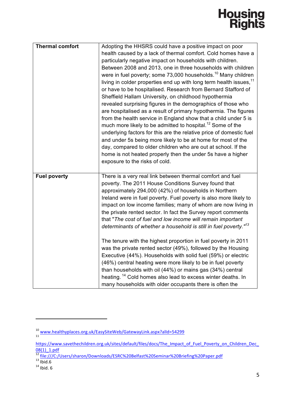## **Housing<br>Rights**

| <b>Thermal comfort</b> | Adopting the HHSRS could have a positive impact on poor<br>health caused by a lack of thermal comfort. Cold homes have a<br>particularly negative impact on households with children.<br>Between 2008 and 2013, one in three households with children<br>were in fuel poverty; some 73,000 households. <sup>10</sup> Many children<br>living in colder properties end up with long term health issues, <sup>11</sup><br>or have to be hospitalised. Research from Bernard Stafford of<br>Sheffield Hallam University, on childhood hypothermia<br>revealed surprising figures in the demographics of those who<br>are hospitalised as a result of primary hypothermia. The figures<br>from the health service in England show that a child under 5 is<br>much more likely to be admitted to hospital. <sup>12</sup> Some of the<br>underlying factors for this are the relative price of domestic fuel<br>and under 5s being more likely to be at home for most of the<br>day, compared to older children who are out at school. If the<br>home is not heated properly then the under 5s have a higher<br>exposure to the risks of cold. |
|------------------------|------------------------------------------------------------------------------------------------------------------------------------------------------------------------------------------------------------------------------------------------------------------------------------------------------------------------------------------------------------------------------------------------------------------------------------------------------------------------------------------------------------------------------------------------------------------------------------------------------------------------------------------------------------------------------------------------------------------------------------------------------------------------------------------------------------------------------------------------------------------------------------------------------------------------------------------------------------------------------------------------------------------------------------------------------------------------------------------------------------------------------------------|
| <b>Fuel poverty</b>    | There is a very real link between thermal comfort and fuel<br>poverty. The 2011 House Conditions Survey found that<br>approximately 294,000 (42%) of households in Northern<br>Ireland were in fuel poverty. Fuel poverty is also more likely to<br>impact on low income families; many of whom are now living in<br>the private rented sector. In fact the Survey report comments<br>that "The cost of fuel and low income will remain important<br>determinants of whether a household is still in fuel poverty." <sup>13</sup><br>The tenure with the highest proportion in fuel poverty in 2011<br>was the private rented sector (49%), followed by the Housing<br>Executive (44%). Households with solid fuel (59%) or electric<br>(46%) central heating were more likely to be in fuel poverty<br>than households with oil (44%) or mains gas (34%) central<br>heating. <sup>14</sup> Cold homes also lead to excess winter deaths. In<br>many households with older occupants there is often the                                                                                                                                  |

<sup>10</sup> www.healthyplaces.org.uk/EasySiteWeb/GatewayLink.aspx?alId=54299

https://www.savethechildren.org.uk/sites/default/files/docs/The\_Impact\_of\_Fuel\_Poverty\_on\_Children\_Dec\_ 08(1)\_1.pdf

<sup>&</sup>lt;sup>12</sup> file:///C:/Users/sharon/Downloads/ESRC%20Belfast%20Seminar%20Briefing%20Paper.pdf<br><sup>13</sup> Ibid. 6<br><sup>14</sup> Ibid. 6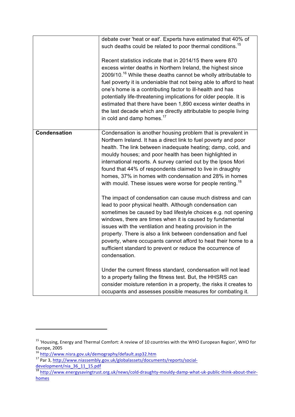|                     | debate over 'heat or eat'. Experts have estimated that 40% of<br>such deaths could be related to poor thermal conditions. <sup>15</sup><br>Recent statistics indicate that in 2014/15 there were 870<br>excess winter deaths in Northern Ireland, the highest since<br>2009/10. <sup>16</sup> While these deaths cannot be wholly attributable to<br>fuel poverty it is undeniable that not being able to afford to heat<br>one's home is a contributing factor to ill-health and has<br>potentially life-threatening implications for older people. It is<br>estimated that there have been 1,890 excess winter deaths in<br>the last decade which are directly attributable to people living<br>in cold and damp homes. <sup>17</sup> |
|---------------------|-----------------------------------------------------------------------------------------------------------------------------------------------------------------------------------------------------------------------------------------------------------------------------------------------------------------------------------------------------------------------------------------------------------------------------------------------------------------------------------------------------------------------------------------------------------------------------------------------------------------------------------------------------------------------------------------------------------------------------------------|
| <b>Condensation</b> | Condensation is another housing problem that is prevalent in<br>Northern Ireland. It has a direct link to fuel poverty and poor<br>health. The link between inadequate heating; damp, cold, and<br>mouldy houses; and poor health has been highlighted in<br>international reports. A survey carried out by the Ipsos Mori<br>found that 44% of respondents claimed to live in draughty<br>homes, 37% in homes with condensation and 28% in homes<br>with mould. These issues were worse for people renting. <sup>18</sup><br>The impact of condensation can cause much distress and can<br>lead to poor physical health. Although condensation can<br>sometimes be caused by bad lifestyle choices e.g. not opening                    |
|                     | windows, there are times when it is caused by fundamental<br>issues with the ventilation and heating provision in the<br>property. There is also a link between condensation and fuel<br>poverty, where occupants cannot afford to heat their home to a<br>sufficient standard to prevent or reduce the occurrence of<br>condensation.<br>Under the current fitness standard, condensation will not lead<br>to a property failing the fitness test. But, the HHSRS can<br>consider moisture retention in a property, the risks it creates to                                                                                                                                                                                            |
|                     | occupants and assesses possible measures for combating it.                                                                                                                                                                                                                                                                                                                                                                                                                                                                                                                                                                                                                                                                              |

<sup>&</sup>lt;sup>15</sup> 'Housing, Energy and Thermal Comfort: A review of 10 countries with the WHO European Region', WHO for Europe, 2005 

<sup>&</sup>lt;sup>16</sup> http://www.nisra.gov.uk/demography/default.asp32.htm<br><sup>17</sup> Par 3, <u>http://www</u>.niassembly.gov.uk/globalassets/documents/reports/socialdevelopment/nia\_36\_11\_15.pdf

<sup>&</sup>lt;sup>18</sup> http://www.energysavingtrust.org.uk/news/cold-draughty-mouldy-damp-what-uk-public-think-about-theirhomes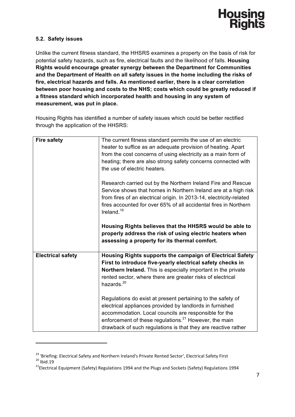

### **5.2. Safety issues**

Unlike the current fitness standard, the HHSRS examines a property on the basis of risk for potential safety hazards, such as fire, electrical faults and the likelihood of falls. **Housing Rights would encourage greater synergy between the Department for Communities and the Department of Health on all safety issues in the home including the risks of fire, electrical hazards and falls. As mentioned earlier, there is a clear correlation between poor housing and costs to the NHS; costs which could be greatly reduced if a fitness standard which incorporated health and housing in any system of measurement, was put in place.** 

Housing Rights has identified a number of safety issues which could be better rectified through the application of the HHSRS:

| <b>Fire safety</b>       | The current fitness standard permits the use of an electric<br>heater to suffice as an adequate provision of heating. Apart<br>from the cost concerns of using electricity as a main form of<br>heating; there are also strong safety concerns connected with<br>the use of electric heaters.<br>Research carried out by the Northern Ireland Fire and Rescue |
|--------------------------|---------------------------------------------------------------------------------------------------------------------------------------------------------------------------------------------------------------------------------------------------------------------------------------------------------------------------------------------------------------|
|                          | Service shows that homes in Northern Ireland are at a high risk<br>from fires of an electrical origin. In 2013-14, electricity-related<br>fires accounted for over 65% of all accidental fires in Northern<br>Ireland. $19$                                                                                                                                   |
|                          | Housing Rights believes that the HHSRS would be able to<br>properly address the risk of using electric heaters when<br>assessing a property for its thermal comfort.                                                                                                                                                                                          |
| <b>Electrical safety</b> | Housing Rights supports the campaign of Electrical Safety<br>First to introduce five-yearly electrical safety checks in<br>Northern Ireland. This is especially important in the private                                                                                                                                                                      |
|                          | rented sector, where there are greater risks of electrical<br>hazards. <sup>20</sup>                                                                                                                                                                                                                                                                          |
|                          | Regulations do exist at present pertaining to the safety of<br>electrical appliances provided by landlords in furnished                                                                                                                                                                                                                                       |
|                          | accommodation. Local councils are responsible for the<br>enforcement of these regulations. <sup>21</sup> However, the main<br>drawback of such regulations is that they are reactive rather                                                                                                                                                                   |

<sup>&</sup>lt;sup>19</sup> 'Briefing: Electrical Safety and Northern Ireland's Private Rented Sector', Electrical Safety First <sup>20</sup> Ibid.19<br><sup>20</sup> Ibid.19 21Electrical Equipment (Safety) Regulations 1994 and the Plugs and Sockets (Safety) Regula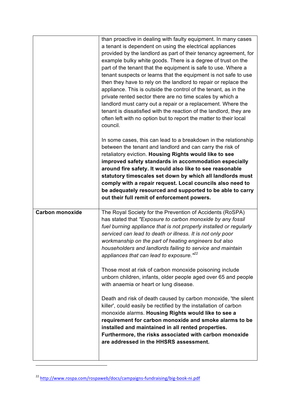|                        | than proactive in dealing with faulty equipment. In many cases<br>a tenant is dependent on using the electrical appliances<br>provided by the landlord as part of their tenancy agreement, for<br>example bulky white goods. There is a degree of trust on the<br>part of the tenant that the equipment is safe to use. Where a<br>tenant suspects or learns that the equipment is not safe to use<br>then they have to rely on the landlord to repair or replace the<br>appliance. This is outside the control of the tenant, as in the<br>private rented sector there are no time scales by which a<br>landlord must carry out a repair or a replacement. Where the<br>tenant is dissatisfied with the reaction of the landlord, they are<br>often left with no option but to report the matter to their local<br>council. |
|------------------------|------------------------------------------------------------------------------------------------------------------------------------------------------------------------------------------------------------------------------------------------------------------------------------------------------------------------------------------------------------------------------------------------------------------------------------------------------------------------------------------------------------------------------------------------------------------------------------------------------------------------------------------------------------------------------------------------------------------------------------------------------------------------------------------------------------------------------|
|                        | In some cases, this can lead to a breakdown in the relationship<br>between the tenant and landlord and can carry the risk of<br>retaliatory eviction. Housing Rights would like to see<br>improved safety standards in accommodation especially<br>around fire safety. It would also like to see reasonable<br>statutory timescales set down by which all landlords must<br>comply with a repair request. Local councils also need to<br>be adequately resourced and supported to be able to carry<br>out their full remit of enforcement powers.                                                                                                                                                                                                                                                                            |
| <b>Carbon monoxide</b> | The Royal Society for the Prevention of Accidents (RoSPA)<br>has stated that "Exposure to carbon monoxide by any fossil<br>fuel burning appliance that is not properly installed or regularly<br>serviced can lead to death or illness. It is not only poor<br>workmanship on the part of heating engineers but also<br>householders and landlords failing to service and maintain<br>appliances that can lead to exposure." <sup>22</sup><br>Those most at risk of carbon monoxide poisoning include<br>unborn children, infants, older people aged over 65 and people<br>with anaemia or heart or lung disease.                                                                                                                                                                                                            |
|                        | Death and risk of death caused by carbon monoxide, the silent<br>killer', could easily be rectified by the installation of carbon<br>monoxide alarms. Housing Rights would like to see a<br>requirement for carbon monoxide and smoke alarms to be<br>installed and maintained in all rented properties.<br>Furthermore, the risks associated with carbon monoxide<br>are addressed in the HHSRS assessment.                                                                                                                                                                                                                                                                                                                                                                                                                 |

<sup>22</sup> http://www.rospa.com/rospaweb/docs/campaigns-fundraising/big-book-ni.pdf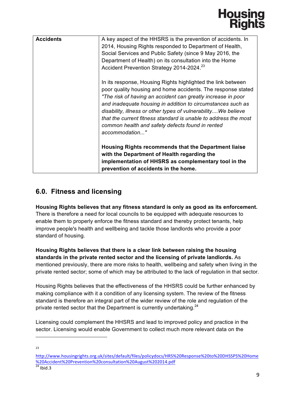### Housing<br>Rights

| <b>Accidents</b> | A key aspect of the HHSRS is the prevention of accidents. In<br>2014, Housing Rights responded to Department of Health,<br>Social Services and Public Safety (since 9 May 2016, the<br>Department of Health) on its consultation into the Home<br>Accident Prevention Strategy 2014-2024. <sup>23</sup>                                                                                                                                                               |
|------------------|-----------------------------------------------------------------------------------------------------------------------------------------------------------------------------------------------------------------------------------------------------------------------------------------------------------------------------------------------------------------------------------------------------------------------------------------------------------------------|
|                  | In its response, Housing Rights highlighted the link between<br>poor quality housing and home accidents. The response stated<br>"The risk of having an accident can greatly increase in poor<br>and inadequate housing in addition to circumstances such as<br>disability, illness or other types of vulnerabilityWe believe<br>that the current fitness standard is unable to address the most<br>common health and safety defects found in rented<br>accommodation" |
|                  | Housing Rights recommends that the Department liaise<br>with the Department of Health regarding the<br>implementation of HHSRS as complementary tool in the<br>prevention of accidents in the home.                                                                                                                                                                                                                                                                   |

### **6.0. Fitness and licensing**

 

**Housing Rights believes that any fitness standard is only as good as its enforcement.** There is therefore a need for local councils to be equipped with adequate resources to enable them to properly enforce the fitness standard and thereby protect tenants, help improve people's health and wellbeing and tackle those landlords who provide a poor standard of housing.

**Housing Rights believes that there is a clear link between raising the housing standards in the private rented sector and the licensing of private landlords.** As mentioned previously, there are more risks to health, wellbeing and safety when living in the private rented sector; some of which may be attributed to the lack of regulation in that sector.

Housing Rights believes that the effectiveness of the HHSRS could be further enhanced by making compliance with it a condition of any licensing system. The review of the fitness standard is therefore an integral part of the wider review of the role and regulation of the private rented sector that the Department is currently undertaking.<sup>24</sup>

Licensing could complement the HHSRS and lead to improved policy and practice in the sector. Licensing would enable Government to collect much more relevant data on the

http://www.housingrights.org.uk/sites/default/files/policydocs/HRS%20Response%20to%20DHSSPS%20Home %20Accident%20Prevention%20consultation%20August%202014.pdf  $24$  Ibid.3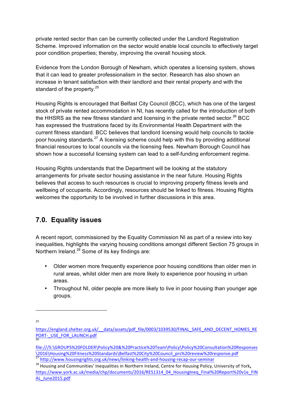private rented sector than can be currently collected under the Landlord Registration Scheme. Improved information on the sector would enable local councils to effectively target poor condition properties; thereby, improving the overall housing stock.

Evidence from the London Borough of Newham, which operates a licensing system, shows that it can lead to greater professionalism in the sector. Research has also shown an increase in tenant satisfaction with their landlord and their rental property and with the standard of the property.<sup>25</sup>

Housing Rights is encouraged that Belfast City Council (BCC), which has one of the largest stock of private rented accommodation in NI, has recently called for the introduction of both the HHSRS as the new fitness standard and licensing in the private rented sector.<sup>26</sup> BCC has expressed the frustrations faced by its Environmental Health Department with the current fitness standard. BCC believes that landlord licensing would help councils to tackle poor housing standards.<sup>27</sup> A licensing scheme could help with this by providing additional financial resources to local councils via the licensing fees. Newham Borough Council has shown how a successful licensing system can lead to a self-funding enforcement regime.

Housing Rights understands that the Department will be looking at the statutory arrangements for private sector housing assistance in the near future. Housing Rights believes that access to such resources is crucial to improving property fitness levels and wellbeing of occupants. Accordingly, resources should be linked to fitness. Housing Rights welcomes the opportunity to be involved in further discussions in this area.

### **7.0. Equality issues**

 

A recent report, commissioned by the Equality Commission NI as part of a review into key inequalities, highlights the varying housing conditions amongst different Section 75 groups in Northern Ireland.<sup>28</sup> Some of its key findings are:

- Older women more frequently experience poor housing conditions than older men in rural areas, whilst older men are more likely to experience poor housing in urban areas.
- Throughout NI, older people are more likely to live in poor housing than younger age groups.

https://england.shelter.org.uk/\_\_data/assets/pdf\_file/0003/1039530/FINAL\_SAFE\_AND\_DECENT\_HOMES\_RE PORT-\_USE\_FOR\_LAUNCH.pdf

file:///S:\GROUPS%20FOLDER\Policy%20&%20Practice%20Team\Policy\Policy%20Consultation%20Responses \2016\Housing%20Fitness%20Standards\Belfast%20City%20Council\_prs%20review%20response.pdf <sup>27</sup> http://www.housingrights.org.uk/news/linking-health-and-housing-recap-our-seminar

<sup>&</sup>lt;sup>28</sup> Housing and Communities' Inequalities in Northern Ireland, Centre for Housing Policy, University of York, https://www.york.ac.uk/media/chp/documents/2016/RES1314\_04\_HousingIneq\_Final%20Report%20v1e\_FIN AL\_June2015.pdf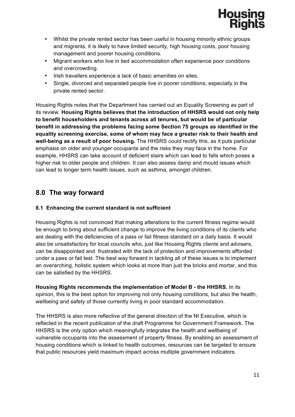

- Whilst the private rented sector has been useful in housing minority ethnic groups and migrants, it is likely to have limited security, high housing costs, poor housing management and poorer housing conditions.
- Migrant workers who live in tied accommodation often experience poor conditions and overcrowding.
- Irish travellers experience a lack of basic amenities on sites.
- Single, divorced and separated people live in poorer conditions, especially in the private rented sector.

Housing Rights notes that the Department has carried out an Equality Screening as part of its review. **Housing Rights believes that the introduction of HHSRS would not only help to benefit householders and tenants across all tenures, but would be of particular benefit in addressing the problems facing some Section 75 groups as identified in the equality screening exercise, some of whom may face a greater risk to their health and well-being as a result of poor housing.** The HHSRS could rectify this, as it puts particular emphasis on older and younger occupants and the risks they may face in the home. For example, HHSRS can take account of deficient stairs which can lead to falls which poses a higher risk to older people and children. It can also assess damp and mould issues which can lead to longer term health issues, such as asthma, amongst children.

### **8.0 The way forward**

### **8.1 Enhancing the current standard is not sufficient**

Housing Rights is not convinced that making alterations to the current fitness regime would be enough to bring about sufficient change to improve the living conditions of its clients who are dealing with the deficiencies of a pass or fail fitness standard on a daily basis. It would also be unsatisfactory for local councils who, just like Housing Rights clients and advisers, can be disappointed and frustrated with the lack of protection and improvements afforded under a pass or fail test. The best way forward in tackling all of these issues is to implement an overarching, holistic system which looks at more than just the bricks and mortar, and this can be satisfied by the HHSRS.

**Housing Rights recommends the implementation of Model B - the HHSRS.** In its opinion, this is the best option for improving not only housing conditions, but also the health, wellbeing and safety of those currently living in poor standard accommodation.

The HHSRS is also more reflective of the general direction of the NI Executive, which is reflected in the recent publication of the draft Programme for Government Framework. The HHSRS is the only option which meaningfully integrates the health and wellbeing of vulnerable occupants into the assessment of property fitness. By enabling an assessment of housing conditions which is linked to health outcomes, resources can be targeted to ensure that public resources yield maximum impact across multiple government indicators.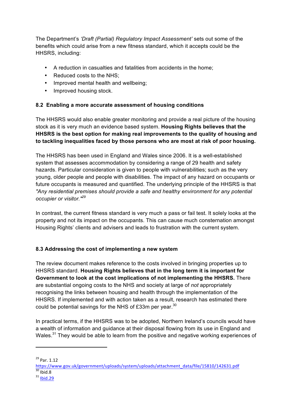The Department's *'Draft (Partial) Regulatory Impact Assessment'* sets out some of the benefits which could arise from a new fitness standard, which it accepts could be the HHSRS, including:

- A reduction in casualties and fatalities from accidents in the home;
- Reduced costs to the NHS;
- Improved mental health and wellbeing;
- Improved housing stock.

### **8.2 Enabling a more accurate assessment of housing conditions**

The HHSRS would also enable greater monitoring and provide a real picture of the housing stock as it is very much an evidence based system. **Housing Rights believes that the HHSRS is the best option for making real improvements to the quality of housing and to tackling inequalities faced by those persons who are most at risk of poor housing.**

The HHSRS has been used in England and Wales since 2006. It is a well-established system that assesses accommodation by considering a range of 29 health and safety hazards. Particular consideration is given to people with vulnerabilities; such as the very young, older people and people with disabilities. The impact of any hazard on occupants or future occupants is measured and quantified. The underlying principle of the HHSRS is that *"Any residential premises should provide a safe and healthy environment for any potential occupier or visitor."<sup>29</sup>*

In contrast, the current fitness standard is very much a pass or fail test. It solely looks at the property and not its impact on the occupants. This can cause much consternation amongst Housing Rights' clients and advisers and leads to frustration with the current system.

### **8.3 Addressing the cost of implementing a new system**

The review document makes reference to the costs involved in bringing properties up to HHSRS standard. **Housing Rights believes that in the long term it is important for Government to look at the cost implications of not implementing the HHSRS.** There are substantial ongoing costs to the NHS and society at large of *not* appropriately recognising the links between housing and health through the implementation of the HHSRS. If implemented and with action taken as a result, research has estimated there could be potential savings for the NHS of £33m per year.<sup>30</sup>

In practical terms, if the HHSRS was to be adopted, Northern Ireland's councils would have a wealth of information and guidance at their disposal flowing from its use in England and Wales.<sup>31</sup> They would be able to learn from the positive and negative working experiences of

 $^{29}$  Par. 1.12

https://www.gov.uk/government/uploads/system/uploads/attachment\_data/file/15810/142631.pdf<br><sup>30</sup> Ibid.8<br><sup>31</sup> Ibid.29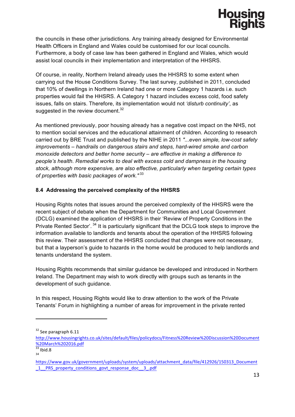

the councils in these other jurisdictions. Any training already designed for Environmental Health Officers in England and Wales could be customised for our local councils. Furthermore, a body of case law has been gathered in England and Wales, which would assist local councils in their implementation and interpretation of the HHSRS.

Of course, in reality, Northern Ireland already uses the HHSRS to some extent when carrying out the House Conditions Survey. The last survey, published in 2011, concluded that 10% of dwellings in Northern Ireland had one or more Category 1 hazards i.e. such properties would fail the HHSRS. A Category 1 hazard includes excess cold, food safety issues, falls on stairs. Therefore, its implementation would not *'disturb continuity'*, as suggested in the review document. $32$ 

As mentioned previously, poor housing already has a negative cost impact on the NHS, not to mention social services and the educational attainment of children. According to research carried out by BRE Trust and published by the NIHE in 2011 *"...even simple, low-cost safety improvements – handrails on dangerous stairs and steps, hard-wired smoke and carbon monoxide detectors and better home security – are effective in making a difference to people's health. Remedial works to deal with excess cold and dampness in the housing stock, although more expensive, are also effective, particularly when targeting certain types of properties with basic packages of work."* <sup>33</sup>

### **8.4 Addressing the perceived complexity of the HHSRS**

Housing Rights notes that issues around the perceived complexity of the HHSRS were the recent subject of debate when the Department for Communities and Local Government (DCLG) examined the application of HHSRS in their 'Review of Property Conditions in the Private Rented Sector'.<sup>34</sup> It is particularly significant that the DCLG took steps to improve the information available to landlords and tenants about the operation of the HHSRS following this review. Their assessment of the HHSRS concluded that changes were not necessary, but that a layperson's guide to hazards in the home would be produced to help landlords and tenants understand the system.

Housing Rights recommends that similar guidance be developed and introduced in Northern Ireland. The Department may wish to work directly with groups such as tenants in the development of such guidance.

In this respect, Housing Rights would like to draw attention to the work of the Private Tenants' Forum in highlighting a number of areas for improvement in the private rented

 $32$  See paragraph 6.11

http://www.housingrights.co.uk/sites/default/files/policydocs/Fitness%20Review%20Discussion%20Document %20March%202016.pdf<br>
33 Ibid.8<br>
34

https://www.gov.uk/government/uploads/system/uploads/attachment\_data/file/412926/150313\_Document \_1\_\_PRS\_property\_conditions\_govt\_response\_doc\_\_3\_.pdf